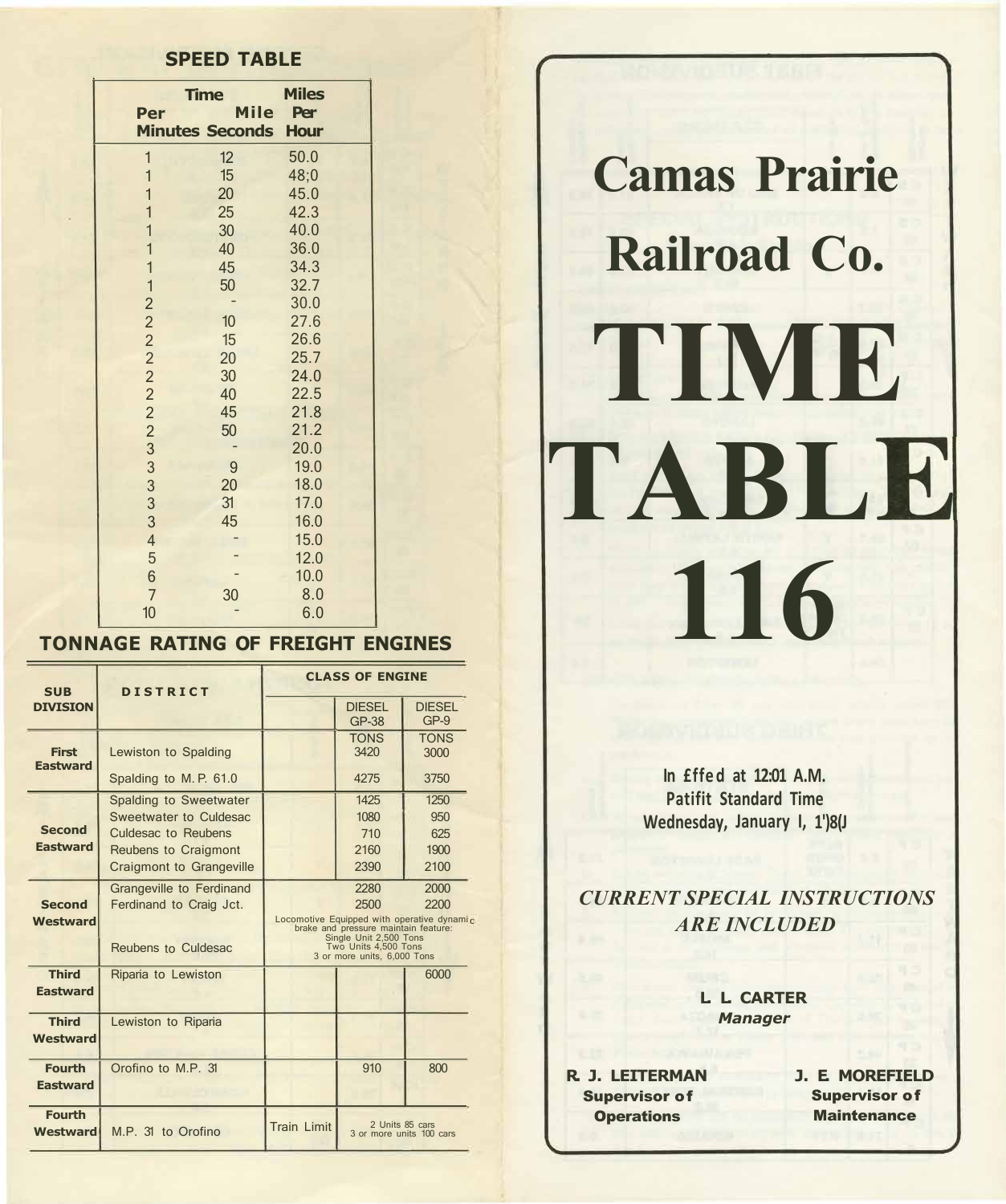## **SPEED TABLE**

|                | <b>Time</b>            | <b>Miles</b> |  |
|----------------|------------------------|--------------|--|
| Per            | <b>Mile</b>            | Per          |  |
|                | <b>Minutes Seconds</b> | <b>Hour</b>  |  |
| $\mathbf{1}$   | 12                     | 50.0         |  |
| $\overline{1}$ | 15                     | 48;0         |  |
| $\mathbf{1}$   | 20                     | 45.0         |  |
| $\overline{1}$ | 25                     | 42.3         |  |
| $\overline{1}$ | 30                     | 40.0         |  |
| $\overline{1}$ | 40                     | 36.0         |  |
| $\mathbf{1}$   | 45                     | 34.3         |  |
| $\mathbf{1}$   | 50                     | 32.7         |  |
|                |                        | 30.0         |  |
| 22222233333333 | 10                     | 27.6         |  |
|                | 15                     | 26.6         |  |
|                | 20                     | 25.7         |  |
|                | 30                     | 24.0         |  |
|                | 40                     | 22.5         |  |
|                | 45                     | 21.8         |  |
|                | 50                     | 21.2         |  |
|                |                        | 20.0         |  |
|                | 9                      | 19.0         |  |
|                | 20                     | 18.0         |  |
|                | 31                     | 17.0         |  |
|                | 45                     | 16.0         |  |
| $\overline{4}$ |                        | 15.0         |  |
| 5              |                        | 12.0         |  |
| 6              |                        | 10.0         |  |
| $\overline{7}$ | 30                     | 8.0          |  |
| 10             |                        | 6.0          |  |

## **TONNAGE RATING OF FREIGHT ENGINES**

| <b>SUB</b>                       | <b>DISTRICT</b>                                                                                                                    | <b>CLASS OF ENGINE</b>                                            |                                                                                                                                       |                                                            |  |  |
|----------------------------------|------------------------------------------------------------------------------------------------------------------------------------|-------------------------------------------------------------------|---------------------------------------------------------------------------------------------------------------------------------------|------------------------------------------------------------|--|--|
| <b>DIVISION</b>                  |                                                                                                                                    |                                                                   | <b>DIESEL</b><br><b>GP-38</b>                                                                                                         | <b>DIESEL</b><br>$GP-9$                                    |  |  |
| <b>First</b><br><b>Eastward</b>  | Lewiston to Spalding                                                                                                               |                                                                   | <b>TONS</b><br>3420                                                                                                                   | <b>TONS</b><br>3000                                        |  |  |
|                                  | Spalding to M.P. 61.0                                                                                                              |                                                                   | 4275                                                                                                                                  | 3750                                                       |  |  |
| <b>Second</b><br><b>Eastward</b> | Spalding to Sweetwater<br>Sweetwater to Culdesac<br>Culdesac to Reubens<br>Reubens to Craigmont<br><b>Craigmont to Grangeville</b> |                                                                   | 1425<br>1080<br>710<br>2160<br>2390                                                                                                   | 1250<br>950<br>625<br>1900<br>2100                         |  |  |
| <b>Second</b><br><b>Westward</b> | Grangeville to Ferdinand<br>Ferdinand to Craig Jct.<br>Reubens to Culdesac                                                         |                                                                   | 2280<br>2500<br>brake and pressure maintain feature:<br>Single Unit 2,500 Tons<br>Two Units 4,500 Tons<br>3 or more units, 6,000 Tons | 2000<br>2200<br>Locomotive Equipped with operative dynamic |  |  |
| <b>Third</b><br><b>Eastward</b>  | Riparia to Lewiston                                                                                                                |                                                                   |                                                                                                                                       | 6000                                                       |  |  |
| <b>Third</b><br><b>Westward</b>  | Lewiston to Riparia                                                                                                                |                                                                   |                                                                                                                                       |                                                            |  |  |
| <b>Fourth</b><br><b>Eastward</b> | Orofino to M.P. 31                                                                                                                 |                                                                   | 910                                                                                                                                   | 800                                                        |  |  |
| <b>Fourth</b><br><b>Westward</b> | M.P. 31 to Orofino                                                                                                                 | 2 Units 85 cars<br><b>Train Limit</b><br>3 or more units 100 cars |                                                                                                                                       |                                                            |  |  |



**In £ff ed at 12:01 A.M. Patifit Standard Time Wednesday, January I, 1')8(J** 

*CURRENT SPECIAL INSTRUCTIONS ARE INCLUDED* 

## **L. L. CARTER** *Manager*

**R. J. LEITERMAN**  Supervisor of **Operations** 

**J. E. MOREFIELD**  Supervisor of **Maintenance**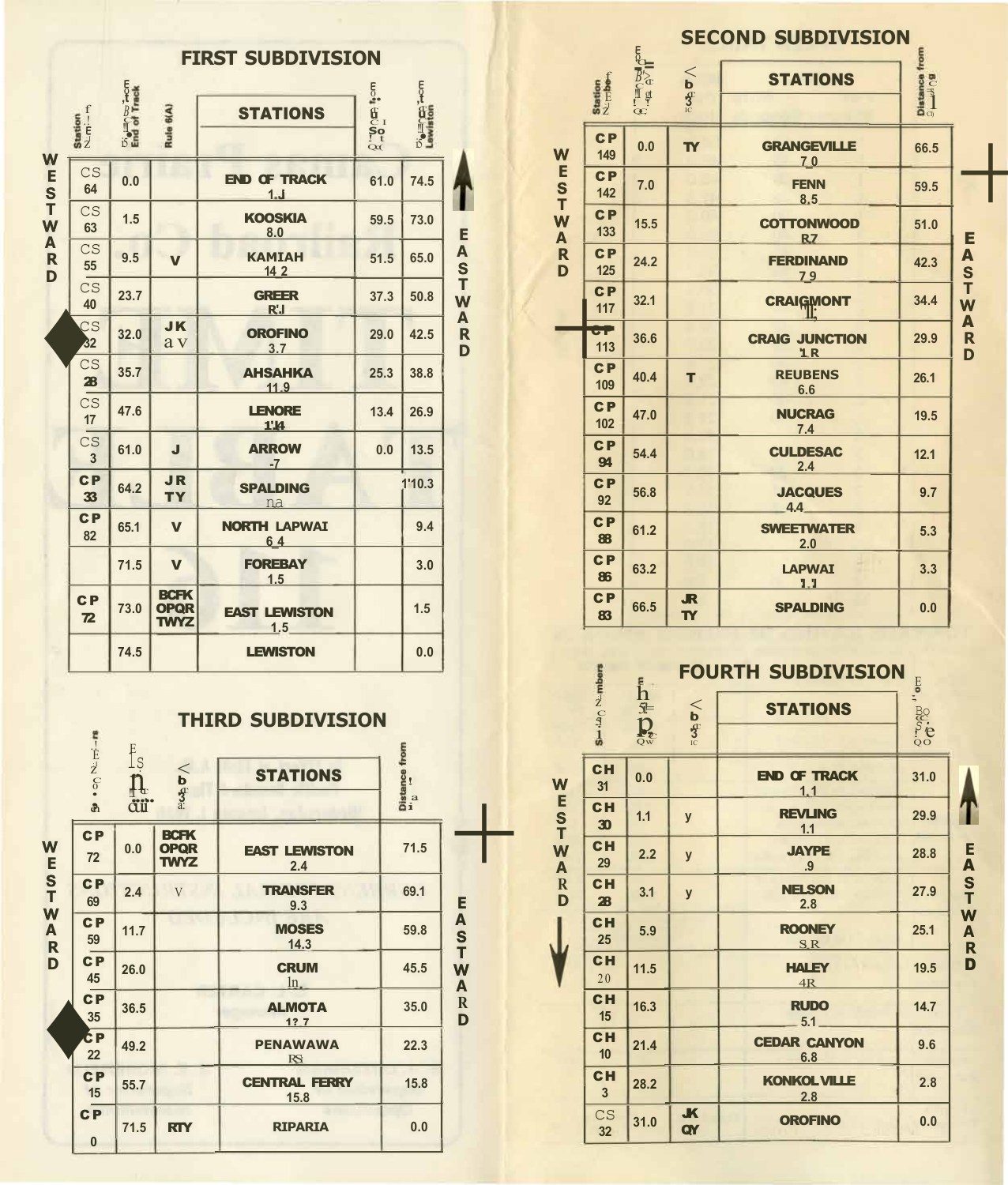|                                   |                                  |                                   |                                           | <b>FIRST SUBDIVISION</b>     |                                                               |                               |                                   |
|-----------------------------------|----------------------------------|-----------------------------------|-------------------------------------------|------------------------------|---------------------------------------------------------------|-------------------------------|-----------------------------------|
|                                   | Station<br>N.F. - n<br>N.        | <b>D<sub>e</sub></b> End of Track | Rule 6(A)                                 | <b>STATIONS</b>              | $\frac{1}{2}$ , $\frac{1}{2}$ , $\frac{1}{2}$ , $\frac{1}{2}$ | <b>Die Hinder</b><br>Lewiston |                                   |
| W<br>E<br>S                       | CS<br>64                         | 0.0                               |                                           | <b>END OF TRACK</b><br>1.1   | 61.0                                                          | 74.5                          |                                   |
| T<br>W                            | CS<br>63                         | 1.5                               |                                           | <b>KOOSKIA</b><br>8.0        | 59.5                                                          | 73.0                          | E                                 |
| A<br>$\overline{\mathbf{R}}$<br>D | CS<br>55                         | 9.5                               | $\overline{\mathbf{V}}$                   | <b>KAMIAH</b><br>14 2        | 51.5                                                          | 65.0                          | A<br>S<br>T                       |
|                                   | $\overline{\text{CS}}$<br>40     | 23.7                              |                                           | <b>GREER</b><br>R'J          | 37.3                                                          | 50.8                          | W                                 |
|                                   | $\overline{\mathsf{CS}}$<br>32   | 32.0                              | <b>JK</b><br>a v                          | <b>OROFINO</b><br>3.7        | 29.0                                                          | 42.5                          | A<br>$\overline{\mathsf{R}}$<br>D |
|                                   | CS<br>$\overline{\mathbf{a}}$    | 35.7                              |                                           | <b>AHSAHKA</b><br>11.9       | 25.3                                                          | 38.8                          |                                   |
|                                   | CS<br>17                         | 47.6                              |                                           | <b>LENORE</b><br><b>1'I4</b> | 13.4                                                          | 26.9                          |                                   |
|                                   | CS<br>$\overline{3}$             | 61.0                              | J                                         | <b>ARROW</b><br>$-7$         | 0.0                                                           | 13.5                          |                                   |
|                                   | C <sub>P</sub><br>33             | 64.2                              | <b>JR</b><br><b>TY</b>                    | <b>SPALDING</b><br>na        |                                                               | 1'10.3                        |                                   |
|                                   | C <sub>P</sub><br>82             | 65.1                              | $\mathbf v$                               | <b>NORTH LAPWAI</b><br>64    |                                                               | 9.4                           |                                   |
|                                   |                                  | 71.5                              | $\overline{\mathbf{V}}$                   | <b>FOREBAY</b><br>1.5        |                                                               | 3.0                           |                                   |
|                                   | C <sub>P</sub><br>$\overline{2}$ | 73.0                              | <b>BCFK</b><br><b>OPQR</b><br><b>TWYZ</b> | <b>EAST LEWISTON</b><br>1.5  |                                                               | 1.5                           |                                   |
|                                   |                                  | 74.5                              |                                           | <b>LEWISTON</b>              |                                                               | 0.0                           |                                   |



-

|                  |                       |                    | $\leq$                                                                                                                 | <b>STATIONS</b>                     |      |                                                            |
|------------------|-----------------------|--------------------|------------------------------------------------------------------------------------------------------------------------|-------------------------------------|------|------------------------------------------------------------|
|                  |                       |                    |                                                                                                                        |                                     |      |                                                            |
| W                | C <sub>P</sub><br>149 | 0.0                | <b>TY</b>                                                                                                              | <b>GRANGEVILLE</b>                  | 66.5 |                                                            |
|                  | CP<br>142             | 7.0                |                                                                                                                        | <b>FENN</b><br>8.5                  | 59.5 |                                                            |
| W<br>A           | C <sub>P</sub><br>133 | 15.5               |                                                                                                                        | <b>COTTONWOOD</b><br>R <sub>Z</sub> | 51.0 | E                                                          |
| $\mathbf R$<br>D | C <sub>P</sub><br>125 | 24.2               |                                                                                                                        | <b>FERDINAND</b><br>79              | 42.3 | A<br>s<br>T                                                |
|                  | C <sub>P</sub><br>117 | 32.1               |                                                                                                                        | <b>CRAIGMONT</b>                    | 34.4 | W<br>A                                                     |
|                  | œ<br>113              | 36.6               |                                                                                                                        | <b>CRAIG JUNCTION</b><br>1R         | 29.9 | $\mathbf R$<br>D                                           |
|                  | C <sub>P</sub><br>109 | 40.4               | т                                                                                                                      | <b>REUBENS</b><br>6.6               | 26.1 |                                                            |
|                  | C <sub>P</sub><br>102 | 47.0               |                                                                                                                        | <b>NUCRAG</b><br>7.4                | 19.5 |                                                            |
|                  | C <sub>P</sub><br>94  | 54.4               |                                                                                                                        | <b>CULDESAC</b><br>2.4              | 12.1 |                                                            |
|                  | C <sub>P</sub><br>92  | 56.8               |                                                                                                                        | <b>JACQUES</b><br>4.4               | 9.7  |                                                            |
|                  | C <sub>P</sub><br>88  | 61.2               |                                                                                                                        | <b>SWEETWATER</b><br>2.0            | 5.3  |                                                            |
|                  | C <sub>P</sub><br>86  | 63.2               |                                                                                                                        | <b>LAPWAI</b><br>1.1                | 3.3  |                                                            |
|                  | C <sub>P</sub><br>83  | 66.5               | <b>JR</b><br><b>TY</b>                                                                                                 | <b>SPALDING</b>                     | 0.0  |                                                            |
|                  | E<br>S<br>T           | Station<br>NLFbert | $\bigoplus_{n=1}^{\infty} \frac{1}{n^2} \bigoplus_{n=1}^{\infty} \frac{1}{n^2} \bigoplus_{n=1}^{\infty} \frac{1}{n^2}$ | $\overline{\mathbf{3}}$             | 70   | <b>SECOND SUBDIVISION</b><br>Distance from<br><sup>9</sup> |

|                  |                              | $\mathbf{h}$                                   |                 | <b>FOURTH SUBDIVISION</b>  |                           |                        |
|------------------|------------------------------|------------------------------------------------|-----------------|----------------------------|---------------------------|------------------------|
|                  | SI-1-D <sub>O</sub> N-Inbers | $\tilde{A}$                                    | $\lesssim$      | <b>STATIONS</b>            | <u>ಂ. ಇಳ್ನಿ. ಲಿ</u><br>೧೮ |                        |
|                  |                              | $\overline{\mathbf{D}}_{\mathbf{Q}\mathbf{w}}$ |                 |                            |                           |                        |
| W                | <b>CH</b><br>31              | 0.0                                            |                 | <b>END OF TRACK</b><br>1.1 | 31.0                      |                        |
| E<br>S<br>T      | <b>CH</b><br>30              | 1.1                                            | y               | <b>REVLING</b><br>1.1      | 29.9                      |                        |
| W<br>A           | <b>CH</b><br>29              | 2.2                                            | $\mathbf{y}$    | <b>JAYPE</b><br>.9         | 28.8                      | E<br>A                 |
| $\mathbf R$<br>D | <b>CH</b><br>2B              | 3.1                                            | y               | <b>NELSON</b><br>2.8       | 27.9                      | S<br>T                 |
|                  | <b>CH</b><br>25              | 5.9                                            |                 | <b>ROONEY</b><br>S.R       | 25.1                      | W<br>A<br>$\mathsf{R}$ |
|                  | <b>CH</b><br>20              | 11.5                                           |                 | <b>HALEY</b><br>4R         | 19.5                      | D                      |
|                  | <b>CH</b><br>15              | 16.3                                           |                 | <b>RUDO</b><br>5.1         | 14.7                      |                        |
|                  | <b>CH</b><br>10              | 21.4                                           |                 | <b>CEDAR CANYON</b><br>6.8 | 9.6                       |                        |
|                  | <b>CH</b><br>$\overline{3}$  | 28.2                                           |                 | <b>KONKOL VILLE</b><br>2.8 | 2.8                       |                        |
|                  | CS<br>32                     | 31.0                                           | <b>JK</b><br>QY | <b>OROFINO</b>             | 0.0                       |                        |

w **E**  s **T**  w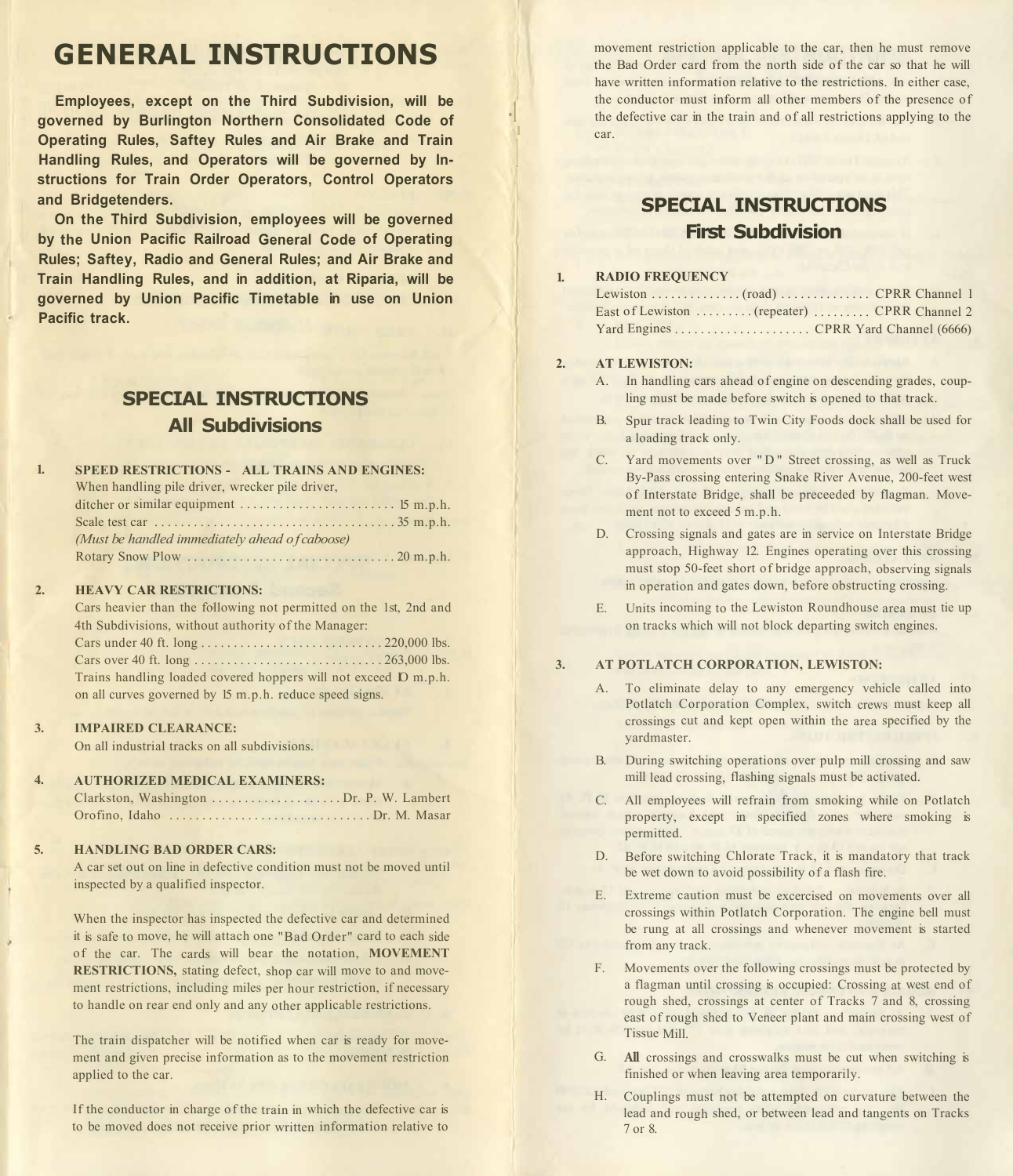## **GENERAL INSTRUCTIONS**

**Employees, except on the Third Subdivision, will be governed by Burlington Northern Consolidated Code of Operating Rules, Saftey Rules and Air Brake and Train Handling Rules, and Operators will be governed by Instructions for Train Order Operators, Control Operators and Bridgetenders.** 

**On the Third Subdivision, employees will be governed by the Union Pacific Railroad General Code of Operating Rules; Saftey, Radio and General Rules; and Air Brake and Train Handling Rules, and in addition, at Riparia, will be governed by Union Pacific Timetable in use on Union Pacific track.** 

# **All Subdivisions**

| $\mathbf{1}$ | <b>SPEED RESTRICTIONS - ALL TRAINS AND ENGINES:</b> |
|--------------|-----------------------------------------------------|
|              | When handling pile driver, wrecker pile driver,     |
|              |                                                     |
|              |                                                     |
|              | (Must be handled immediately ahead of caboose)      |
|              |                                                     |

#### $\overline{2}$ **HEAVY CAR RESTRICTIONS:**

Cars heavier than the following not permitted on the 1st, 2nd and 4th Subdivisions, without authority of the Manager: Cars under 40 ft. long ............................ 220,000 lbs. Cars over 40 ft. long ............................. 263,000 lbs. Trains handling loaded covered hoppers will not exceed IO m.p.h. on all curves governed by 15 m.p.h. reduce speed signs.

#### **3. IMPAIRED CLEARANCE:**

On all industrial tracks on all subdivisions.

#### **4. AUTHORIZED MEDICAL EXAMINERS:**

| Orofino, Idaho Dr. M. Masar |  |
|-----------------------------|--|

#### **5. HANDLING BAD ORDER CARS:**

A car set out on line in defective condition must not be moved until inspected by a qualified inspector.

When the inspector has inspected the defective car and determined it is safe to move, he will attach one "Bad Order" card to each side of the car. The cards will bear the notation, **MOVEMENT RESTRICTIONS,** stating defect, shop car will move to and movement restrictions, including miles per hour restriction, if necessary to handle on rear end only and any other applicable restrictions.

The train dispatcher will be notified when car is ready for movement and given precise information as to the movement restriction applied to the car.

If the conductor in charge of the train in which the defective car is to be moved does not receive prior written information relative to movement restriction applicable to the car, then he must remove the Bad Order card from the north side of the car so that he will have written information relative to the restrictions. In either case, the conductor must inform all other members of the presence of the defective car in the train and of all restrictions applying to the car.

## **SPECIAL INSTRUCTIONS First Subdivision**

## **RADIO FREQUENCY**

### **2. AT LEWISTON:**

**- 1 I**  l

**1.** 

- A. In handling cars ahead of engine on descending grades, coup-**SPECIAL INSTRUCTIONS ling must be made before switch is opened to that track.** 
	- B. Spur track leading to Twin City Foods dock shall be used for a loading track only.
	- C. Yard movements over "D" Street crossing, as well as Truck By-Pass crossing entering Snake River Avenue, 200-feet west of Interstate Bridge, shall be preceeded by flagman. Movement not to exceed 5 m.p.h.
	- D. Crossing signals and gates are in service on Interstate Bridge approach, Highway 12. Engines operating over this crossing must stop 50-feet short of bridge approach, observing signals in operation and gates down, before obstructing crossing.
	- E. Units incoming to the Lewiston Roundhouse area must tie up on tracks which will not block departing switch engines.

#### **3. AT POTLATCH CORPORATION, LEWISTON:**

- A. To eliminate delay to any emergency vehicle called into Potlatch Corporation Complex, switch crews must keep all crossings cut and kept open within the area specified by the yardmaster.
- B. During switching operations over pulp mill crossing and saw mill lead crossing, flashing signals must be activated.
- C. All employees will refrain from smoking while on Potlatch property, except in specified zones where smoking is permitted.
- D. Before switching Chlorate Track, it is mandatory that track be wet down to avoid possibility of a flash fire.
- E. Extreme caution must be excercised on movements over all crossings within Potlatch Corporation. The engine bell must be rung at all crossings and whenever movement is started from any track.
- F. Movements over the following crossings must be protected by a flagman until crossing is occupied: Crossing at west end of rough shed, crossings at center of Tracks 7 and 8, crossing east of rough shed to Veneer plant and main crossing west of Tissue Mill.
- G. **All** crossings and crosswalks must be cut when switching is finished or when leaving area temporarily.
- H. Couplings must not be attempted on curvature between the lead and rough shed, or between lead and tangents on Tracks 7 or 8.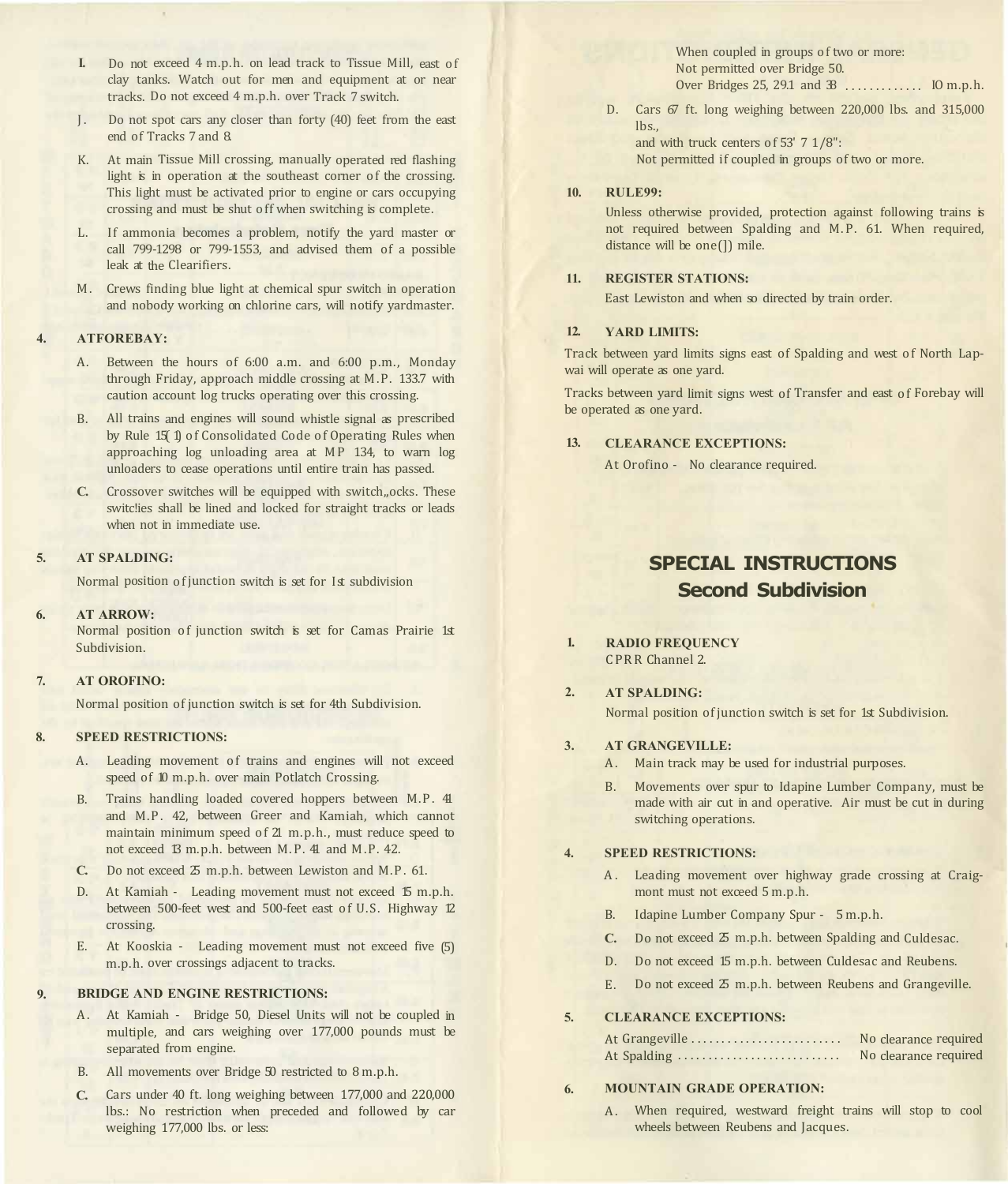- **I.** Do not exceed 4 m.p.h. on lead track to Tissue Mill, east of clay tanks. Watch out for men and equipment at or near tracks. Do not exceed 4 m.p.h. over Track 7 switch.
- J. Do not spot cars any closer than forty (40) feet from the east end of Tracks 7 and 8.
- K. At main Tissue Mill crossing, manually operated red flashing light is in operation at the southeast corner of the crossing. This light must be activated prior to engine or cars occupying crossing and must be shut off when switching is complete.
- L. If ammonia becomes a problem, notify the yard master or call 799-1298 or 799-1553, and advised them of a possible leak at the Clearifiers.
- M. Crews finding blue light at chemical spur switch in operation and nobody working on chlorine cars, will notify yardmaster.

#### **4. ATFOREBAY:**

- A. Between the hours of 6:00 a.m. and 6:00 p.m., Monday through Friday, approach middle crossing at M.P. 133.7 with caution account log trucks operating over this crossing.
- B. All trains and engines will sound whistle signal as prescribed by Rule 15( 1) of Consolidated Code of Operating Rules when approaching log unloading area at MP 134, to warn log unloaders to cease operations until entire train has passed.
- **C.** Crossover switches will be equipped with switch,,ocks. These switc!ies shall be lined and locked for straight tracks or leads when not in immediate use.

#### **5. AT SPALDING:**

Normal position of junction switch is set for Ist subdivision

### **6. AT ARROW:**

Normal position of junction switch is set for Camas Prairie 1st Subdivision.

### **7. AT OROFINO:**

Normal position of junction switch is set for 4th Subdivision.

#### **8. SPEED RESTRICTIONS:**

- A. Leading movement of trains and engines will not exceed speed of 10 m.p.h. over main Potlatch Crossing.
- B. Trains handling loaded covered hoppers between M.P. 41 and M.P. 42, between Greer and Kamiah, which cannot maintain minimum speed of 21 m.p.h., must reduce speed to not exceed 13 m.p.h. between M.P. 41 and M.P. 42.
- **C.** Do not exceed 25 m.p.h. between Lewiston and M.P. 61.
- D. At Kamiah Leading movement must not exceed 15 m.p.h. between 500-feet west and 500-feet east of U.S. Highway 12 crossing.
- E. At Kooskia Leading movement must not exceed five (5) m.p.h. over crossings adjacent to tracks.

#### **9. BRIDGE AND ENGINE RESTRICTIONS:**

- A. At Kamiah Bridge 50, Diesel Units will not be coupled in multiple, and cars weighing over 177,000 pounds must be separated from engine.
- B. All movements over Bridge 50 restricted to 8 m.p.h.
- **C.** Cars under 40 ft. long weighing between 177,000 and 220,000 lbs.: No restriction when preceded and followed by car weighing 177,000 lbs. or less:

When coupled in groups of two or more: Not permitted over Bridge 50. Over Bridges 25, 29.1 and 38 ............. IO m.p.h.

D. Cars 67 ft. long weighing between 220,000 lbs. and 315,000  $l$ hs.

and with truck centers of 53' 7 1/8": Not permitted if coupled in groups of two or more.

#### **10. RULE99:**

l I

Unless otherwise provided, protection against following trains is not required between Spalding and M.P. 61. When required, distance will be one(]) mile.

### **11. REGISTER STATIONS:**

East Lewiston and when so directed by train order.

### **12. YARD LIMITS:**

Track between yard limits signs east of Spalding and west of North Lapwai will operate as one yard.

Tracks between yard limit signs west of Transfer and east of Forebay will be operated as one yard.

### **13. CLEARANCE EXCEPTIONS:**

At Orofino - No clearance required.

## **SPECIAL INSTRUCTIONS Second Subdivision**

**1. RADIO FREQUENCY**  CPRR Channel 2.

#### **2. AT SPALDING:**

Normal position of junction switch is set for 1st Subdivision.

- **3. AT GRANGEVILLE:** 
	- A. Main track may be used for industrial purposes.
	- B. Movements over spur to Idapine Lumber Company, must be made with air cut in and operative. Air must be cut in during switching operations.

#### **4. SPEED RESTRICTIONS:**

- A. Leading movement over highway grade crossing at Craigmont must not exceed 5 m.p.h.
- B. Idapine Lumber Company Spur 5 m.p.h.
- **C.** Do not exceed 25 m.p.h. between Spalding and Culdesac.
- D. Do not exceed 15 m.p.h. between Culdesac and Reubens.
- E. Do not exceed  $\Sigma$  m.p.h. between Reubens and Grangeville.

#### **5. CLEARANCE EXCEPTIONS:**

| At Grangeville | No clearance required |
|----------------|-----------------------|
| At Spalding    | No clearance required |

#### **6. MOUNTAIN GRADE OPERATION:**

A. When required, westward freight trains will stop to cool wheels between Reubens and Jacques.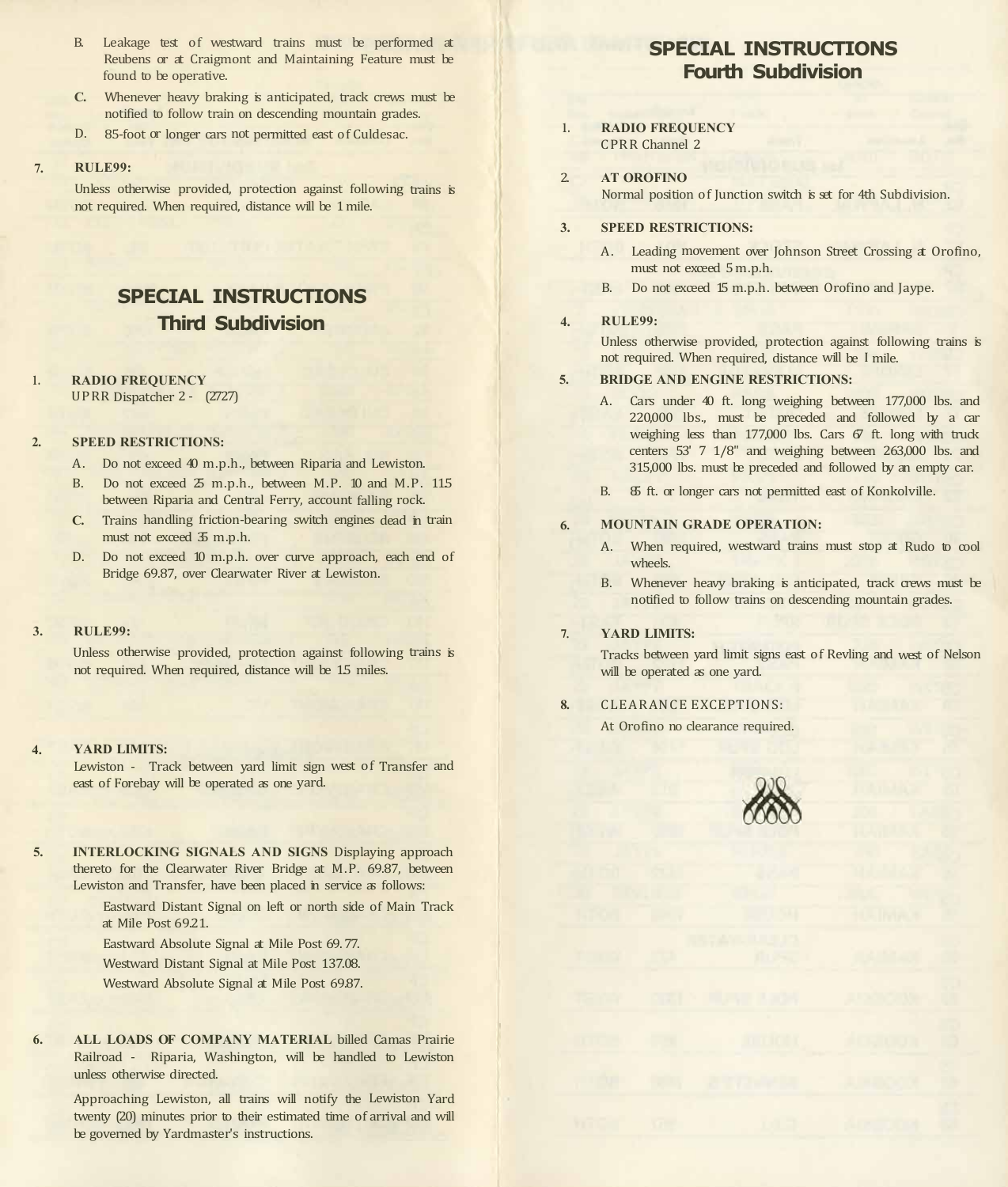- B. Leakage test of westward trains must be performed at Reubens or at Craigmont and Maintaining Feature must be found to be operative.
- **C.** Whenever heavy braking is anticipated, track crews must be notified to follow train on descending mountain grades.
- D. 85-foot or longer cars not permitted east of Culdesac.

#### **7. RULE99:**

Unless otherwise provided, protection against following trains is not required. When required, distance will be 1 mile.

## **SPECIAL INSTRUCTIONS Third Subdivision**

#### **1. RADIO FREQUENCY**

UPRR Dispatcher 2 - (2727)

#### **2. SPEED RESTRICTIONS:**

- A. Do not exceed 40 m.p.h., between Riparia and Lewiston.
- B. Do not exceed  $\delta$  m.p.h., between M.P. 10 and M.P. 115 between Riparia and Central Ferry, account falling rock.
- **C.** Trains handling friction-bearing switch engines dead in train must not exceed 35 m.p.h.
- D. Do not exceed 10 m.p.h. over curve approach, each end of Bridge 69.87, over Clearwater River at Lewiston.

#### **3. RULE99:**

Unless otherwise provided, protection against following trains is not required. When required, distance will be 15 miles.

### **4. YARD LIMITS:**

Lewiston - Track between yard limit sign west of Transfer and east of Forebay will be operated as one yard.

**5. INTERLOCKING SIGNALS AND SIGNS** Displaying approach thereto for the Clearwater River Bridge at M.P. 69.87, between Lewiston and Transfer, have been placed in service as follows:

> Eastward Distant Signal on left or north side of Main Track at Mile Post 69.21.

Eastward Absolute Signal at Mile Post 69. 77.

Westward Distant Signal at Mile Post 137.08.

Westward Absolute Signal at Mile Post 69.87.

**6. ALL LOADS OF COMPANY MATERIAL** billed Camas Prairie Railroad - Riparia, Washington, will be handled to Lewiston unless otherwise directed.

Approaching Lewiston, all trains will notify the Lewiston Yard twenty (20) minutes prior to their estimated time of arrival and will be governed by Yardmaster's instructions.

## **SPECIAL INSTRUCTIONS Fourth Subdivision**

### **RADIO FREQUENCY**  CPRR Channel 2

 $\overline{2}$ **AT OROFINO** 

**1.** 

Normal position of Junction switch is set for 4th Subdivision.

#### **3. SPEED RESTRICTIONS:**

- A. Leading movement over Johnson Street Crossing at Orofino. must not exceed 5 m.p.h.
- B. Do not exceed 15 m.p.h. between Orofino and Jaype.

#### **4. RULE99:**

Unless otherwise provided, protection against following trains is not required. When required, distance will be I mile.

#### **5. BRIDGE AND ENGINE RESTRICTIONS:**

- A. Cars under 40 ft. long weighing between 177,000 lbs. and 220,000 lbs., must be preceded and followed by a car weighing less than 177,000 lbs. Cars  $67$  ft. long with truck centers 53' 7 1/8" and weighing between 263,000 lbs. and 315,000 lbs. must be preceded and followed by an empty car.
- B. 85 ft. or longer cars not permitted east of Konkolville.

#### **6. MOUNTAIN GRADE OPERATION:**

- A. When required, westward trains must stop at Rudo to cool wheels.
- B. Whenever heavy braking is anticipated, track crews must be notified to follow trains on descending mountain grades.

#### **7. YARD LIMITS:**

Tracks between yard limit signs east of Revling and west of Nelson will be operated as one yard.

**8.**  CLEARANCE EXCEPTIONS:

At Orofino no clearance required.

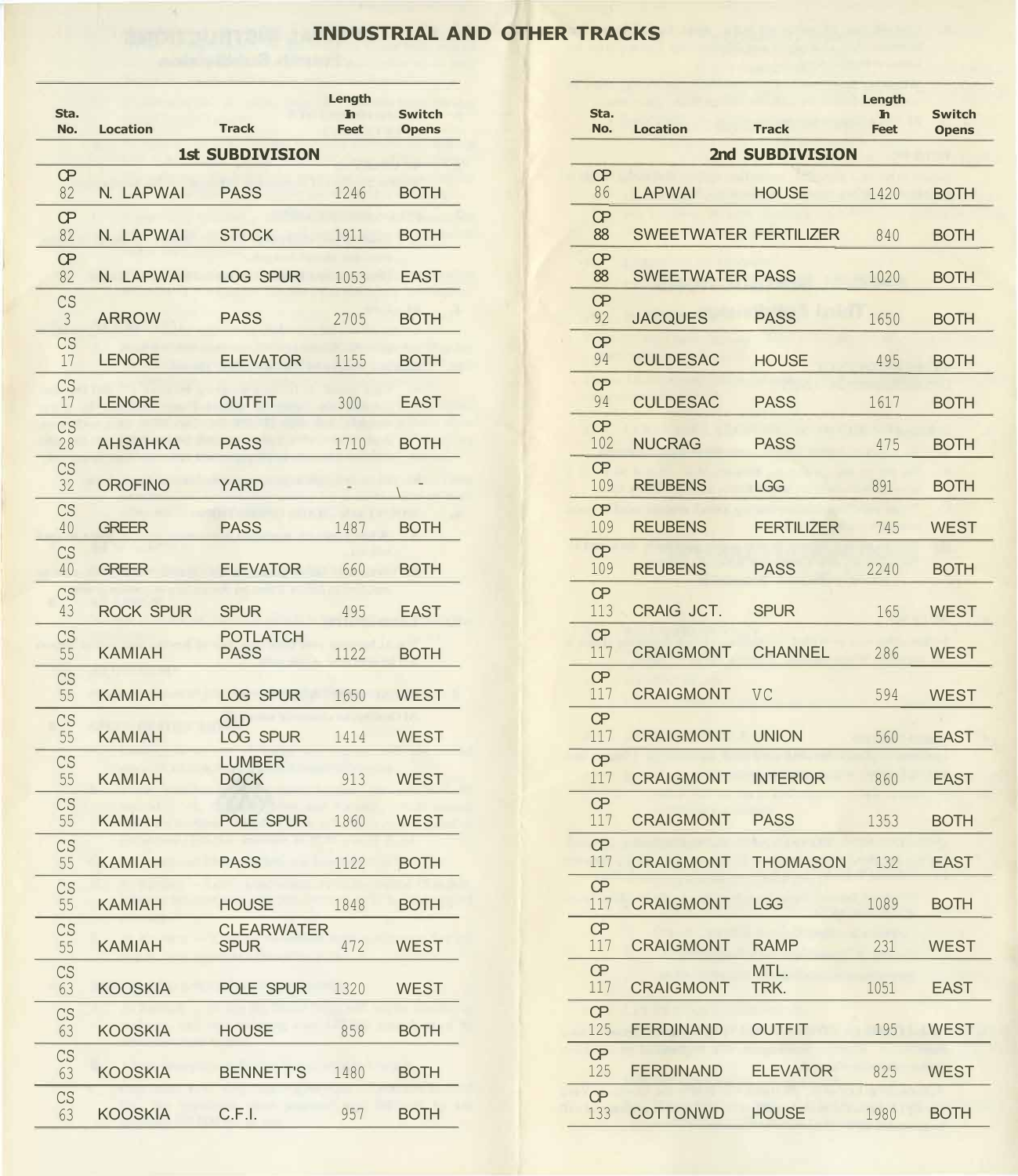## **INDUSTRIAL AND OTHER TRACKS**

| Sta.<br>No.         | <b>Location</b>  | <b>Track</b>                     | Length<br>$\mathbf{h}$<br><b>Feet</b> | <b>Switch</b><br><b>Opens</b> |
|---------------------|------------------|----------------------------------|---------------------------------------|-------------------------------|
|                     |                  | <b>1st SUBDIVISION</b>           |                                       |                               |
| Œ<br>82             | N. LAPWAI        | <b>PASS</b>                      | 1246                                  | <b>BOTH</b>                   |
| <b>CP</b><br>82     | N. LAPWAI        | <b>STOCK</b>                     | 1911                                  | <b>BOTH</b>                   |
| <b>CP</b><br>82     | N. LAPWAI        | LOG SPUR                         | 1053                                  | <b>EAST</b>                   |
| CS<br>$\mathcal{S}$ | <b>ARROW</b>     | <b>PASS</b>                      | 2705                                  | <b>BOTH</b>                   |
| CS<br>17            | <b>LENORE</b>    | <b>ELEVATOR</b>                  | 1155                                  | <b>BOTH</b>                   |
| CS<br>17            | <b>LENORE</b>    | <b>OUTFIT</b>                    | 300                                   | <b>EAST</b>                   |
| CS<br>28            | <b>AHSAHKA</b>   | <b>PASS</b>                      | 1710                                  | <b>BOTH</b>                   |
| CS<br>32            | <b>OROFINO</b>   | <b>YARD</b>                      |                                       |                               |
| CS<br>40            | <b>GREER</b>     | <b>PASS</b>                      | 1487                                  | <b>BOTH</b>                   |
| CS<br>40            | <b>GREER</b>     | <b>ELEVATOR</b>                  | 660                                   | <b>BOTH</b>                   |
| CS<br>43            | <b>ROCK SPUR</b> | <b>SPUR</b>                      | 495                                   |                               |
| CS                  |                  | <b>POTLATCH</b>                  |                                       | <b>EAST</b>                   |
| 55<br>CS            | <b>KAMIAH</b>    | <b>PASS</b>                      | 1122                                  | <b>BOTH</b>                   |
| 55<br>CS            | <b>KAMIAH</b>    | LOG SPUR<br><b>OLD</b>           | 1650                                  | <b>WEST</b>                   |
| 55<br>CS            | <b>KAMIAH</b>    | LOG SPUR<br><b>LUMBER</b>        | 1414                                  | <b>WEST</b>                   |
| 55<br>CS            | <b>KAMIAH</b>    | <b>DOCK</b>                      | 913                                   | <b>WEST</b>                   |
| 55<br>CS            | <b>KAMIAH</b>    | POLE SPUR                        | 1860                                  | <b>WEST</b>                   |
| 55<br>CS            | <b>KAMIAH</b>    | <b>PASS</b>                      | 1122                                  | <b>BOTH</b>                   |
| 55                  | <b>KAMIAH</b>    | <b>HOUSE</b>                     | 1848                                  | <b>BOTH</b>                   |
| CS<br>55            | <b>KAMIAH</b>    | <b>CLEARWATER</b><br><b>SPUR</b> | 472                                   | <b>WEST</b>                   |
| CS<br>63            | <b>KOOSKIA</b>   | POLE SPUR                        | 1320                                  | <b>WEST</b>                   |
| CS<br>63            | <b>KOOSKIA</b>   | <b>HOUSE</b>                     | 858                                   | <b>BOTH</b>                   |
| CS<br>63            | <b>KOOSKIA</b>   | <b>BENNETT'S</b>                 | 1480                                  | <b>BOTH</b>                   |
| CS<br>63            | <b>KOOSKIA</b>   | C.F.I.                           | 957                                   | <b>BOTH</b>                   |

| Sta.                         |                  |                                  | Length<br><b>In</b> | <b>Switch</b> |
|------------------------------|------------------|----------------------------------|---------------------|---------------|
| No.                          | <b>Location</b>  | <b>Track</b>                     | <b>Feet</b>         | <b>Opens</b>  |
|                              |                  | <b>1st SUBDIVISION</b>           |                     |               |
| <b>CP</b><br>82              | N. LAPWAI        | <b>PASS</b>                      | 1246                | <b>BOTH</b>   |
| œ<br>82                      | N. LAPWAI        | <b>STOCK</b>                     | 1911                | <b>BOTH</b>   |
| œ<br>82                      | N. LAPWAI        | LOG SPUR                         | 1053                | <b>EAST</b>   |
| CS                           | <b>ARROW</b>     | <b>PASS</b>                      | 2705                | <b>BOTH</b>   |
| CS<br>17                     | <b>LENORE</b>    | <b>ELEVATOR</b>                  | 1155                | <b>BOTH</b>   |
| CS<br>17                     | <b>LENORE</b>    | <b>OUTFIT</b>                    | 300                 | <b>EAST</b>   |
| CS                           | <b>AHSAHKA</b>   | <b>PASS</b>                      | 1710                | <b>BOTH</b>   |
| CS                           | <b>OROFINO</b>   | <b>YARD</b>                      |                     |               |
| 32<br>CS                     | <b>GREER</b>     | <b>PASS</b>                      |                     |               |
| 40<br>CS                     |                  |                                  | 1487                | <b>BOTH</b>   |
| 40<br>CS                     | <b>GREER</b>     | <b>ELEVATOR</b>                  | 660                 | <b>BOTH</b>   |
| 43<br>CS                     | <b>ROCK SPUR</b> | <b>SPUR</b><br><b>POTLATCH</b>   | 495                 | <b>EAST</b>   |
| 55<br>CS                     | <b>KAMIAH</b>    | <b>PASS</b>                      | 1122                | <b>BOTH</b>   |
|                              | <b>KAMIAH</b>    | LOG SPUR<br><b>OLD</b>           | 1650                | <b>WEST</b>   |
| CS<br>55                     | <b>KAMIAH</b>    | LOG SPUR                         | 1414                | <b>WEST</b>   |
| CS<br>55                     | <b>KAMIAH</b>    | <b>LUMBER</b><br><b>DOCK</b>     | 913                 | <b>WEST</b>   |
| CS<br>55                     | <b>KAMIAH</b>    | POLE SPUR                        | 1860                | <b>WEST</b>   |
| $\mathbb{C}\mathbf{S}$<br>55 | <b>KAMIAH</b>    | <b>PASS</b>                      | 1122                | <b>BOTH</b>   |
| CS<br>55                     | <b>KAMIAH</b>    | <b>HOUSE</b>                     | 1848                | <b>BOTH</b>   |
| CS<br>55                     | <b>KAMIAH</b>    | <b>CLEARWATER</b><br><b>SPUR</b> | 472                 | <b>WEST</b>   |
| CS<br>63                     | <b>KOOSKIA</b>   | POLE SPUR                        | 1320                | <b>WEST</b>   |
|                              | <b>KOOSKIA</b>   | <b>HOUSE</b>                     | 858                 | <b>BOTH</b>   |
| CS<br>63                     | <b>KOOSKIA</b>   | <b>BENNETT'S</b>                 | 1480                | <b>BOTH</b>   |
| CS<br>63                     | <b>KOOSKIA</b>   | C.F.I.                           | 957                 | <b>BOTH</b>   |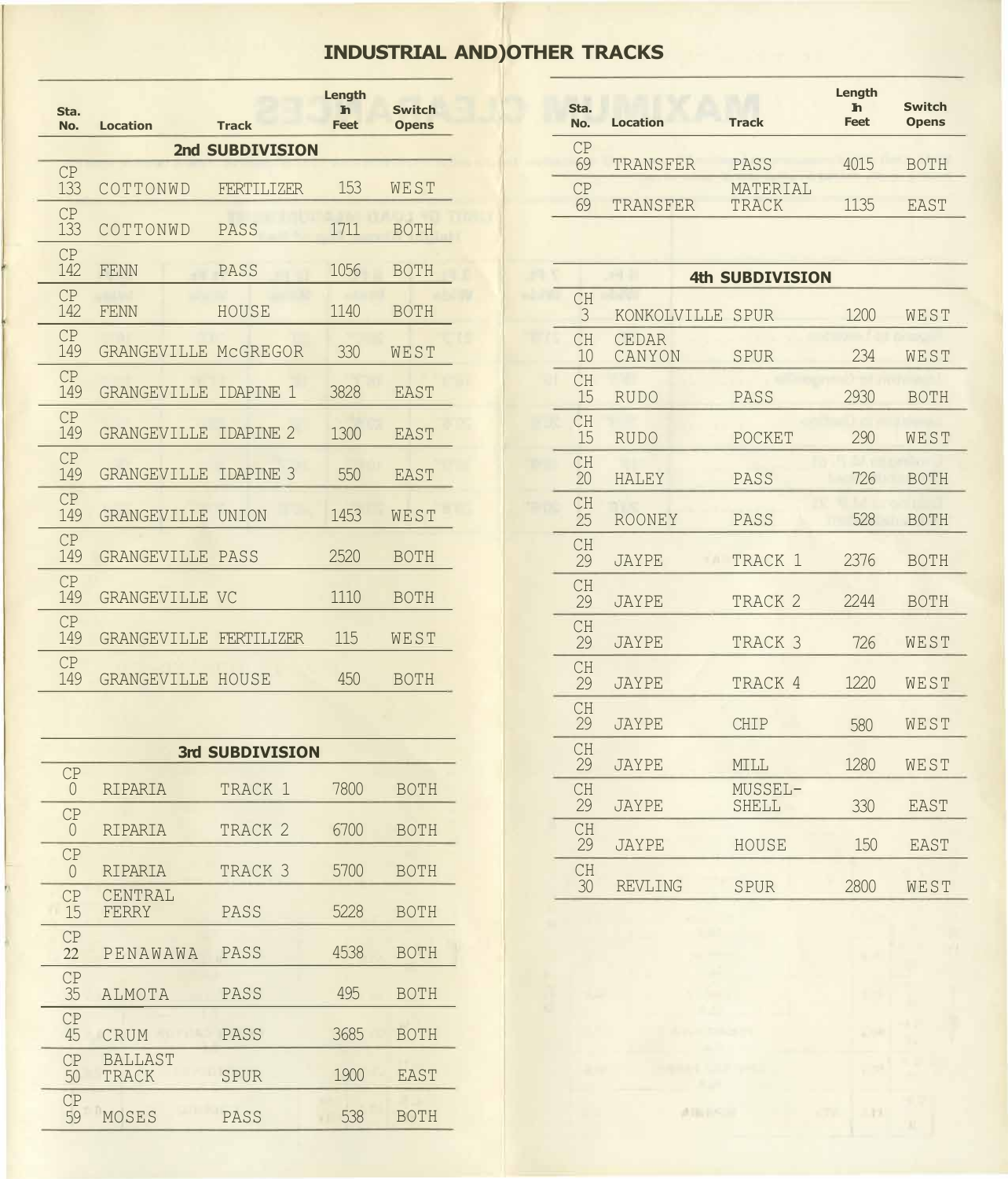## **INDUSTRIAL AND)OTHER TRACKS**

| Sta. | <b>Location</b>                                                                          | <b>Track</b>      | Length<br><b>In</b><br><b>Feet</b>                                                                                                                                                                                                                              | <b>Switch</b>                                     |                                                                                                  | Sta.<br>No.     | <b>Location</b>                                                       | <b>Track</b>                                                                             | Length<br>$\mathbf{h}$<br><b>Feet</b>                                                               | <b>Switch</b><br><b>Opens</b>                                               |
|------|------------------------------------------------------------------------------------------|-------------------|-----------------------------------------------------------------------------------------------------------------------------------------------------------------------------------------------------------------------------------------------------------------|---------------------------------------------------|--------------------------------------------------------------------------------------------------|-----------------|-----------------------------------------------------------------------|------------------------------------------------------------------------------------------|-----------------------------------------------------------------------------------------------------|-----------------------------------------------------------------------------|
|      |                                                                                          |                   |                                                                                                                                                                                                                                                                 |                                                   |                                                                                                  | CP              |                                                                       |                                                                                          |                                                                                                     |                                                                             |
| CP   |                                                                                          |                   |                                                                                                                                                                                                                                                                 |                                                   |                                                                                                  |                 |                                                                       |                                                                                          |                                                                                                     | <b>BOTH</b>                                                                 |
|      |                                                                                          |                   |                                                                                                                                                                                                                                                                 |                                                   |                                                                                                  |                 |                                                                       |                                                                                          |                                                                                                     | <b>EAST</b>                                                                 |
| 133  | COTTONWD                                                                                 | PASS              | 1711                                                                                                                                                                                                                                                            | <b>BOTH</b>                                       |                                                                                                  |                 |                                                                       |                                                                                          |                                                                                                     |                                                                             |
| CP   |                                                                                          |                   |                                                                                                                                                                                                                                                                 |                                                   |                                                                                                  |                 |                                                                       |                                                                                          |                                                                                                     |                                                                             |
|      |                                                                                          |                   |                                                                                                                                                                                                                                                                 |                                                   |                                                                                                  |                 |                                                                       |                                                                                          |                                                                                                     |                                                                             |
| 142  | <b>FENN</b>                                                                              | HOUSE             | 1140                                                                                                                                                                                                                                                            | <b>BOTH</b>                                       |                                                                                                  | <b>CH</b><br>3  |                                                                       | SPUR                                                                                     | 1200                                                                                                | WEST                                                                        |
| CP   |                                                                                          |                   |                                                                                                                                                                                                                                                                 |                                                   |                                                                                                  | <b>CH</b>       | <b>CEDAR</b>                                                          |                                                                                          |                                                                                                     |                                                                             |
|      |                                                                                          |                   |                                                                                                                                                                                                                                                                 |                                                   |                                                                                                  |                 |                                                                       |                                                                                          |                                                                                                     | WEST                                                                        |
| 149  |                                                                                          | IDAPINE 1         | 3828                                                                                                                                                                                                                                                            | <b>EAST</b>                                       |                                                                                                  | 15              | <b>RUDO</b>                                                           | PASS                                                                                     | 2930                                                                                                | <b>BOTH</b>                                                                 |
| CP   |                                                                                          |                   |                                                                                                                                                                                                                                                                 |                                                   |                                                                                                  | <b>CH</b>       |                                                                       |                                                                                          |                                                                                                     |                                                                             |
|      |                                                                                          |                   |                                                                                                                                                                                                                                                                 |                                                   |                                                                                                  |                 |                                                                       |                                                                                          |                                                                                                     | WEST                                                                        |
| 149  |                                                                                          | IDAPINE 3         | 550                                                                                                                                                                                                                                                             | <b>EAST</b>                                       |                                                                                                  | 20              | <b>HALEY</b>                                                          | PASS                                                                                     | 726                                                                                                 | <b>BOTH</b>                                                                 |
| CP   |                                                                                          |                   |                                                                                                                                                                                                                                                                 |                                                   |                                                                                                  | <b>CH</b>       |                                                                       |                                                                                          |                                                                                                     |                                                                             |
|      |                                                                                          |                   |                                                                                                                                                                                                                                                                 |                                                   |                                                                                                  |                 |                                                                       |                                                                                          |                                                                                                     | <b>BOTH</b>                                                                 |
| 149  |                                                                                          |                   | 2520                                                                                                                                                                                                                                                            | <b>BOTH</b>                                       |                                                                                                  | 29              | <b>JAYPE</b>                                                          | TRACK 1                                                                                  | 2376                                                                                                | <b>BOTH</b>                                                                 |
| CP   |                                                                                          |                   |                                                                                                                                                                                                                                                                 |                                                   |                                                                                                  | <b>CH</b>       |                                                                       |                                                                                          |                                                                                                     |                                                                             |
|      |                                                                                          |                   |                                                                                                                                                                                                                                                                 |                                                   |                                                                                                  |                 |                                                                       |                                                                                          |                                                                                                     | <b>BOTH</b>                                                                 |
| 149  | GRANGEVILLE                                                                              | <b>FERTILIZER</b> | 115                                                                                                                                                                                                                                                             | WEST                                              |                                                                                                  | <b>CH</b><br>29 | <b>JAYPE</b>                                                          | TRACK <sub>3</sub>                                                                       | 726                                                                                                 | WEST                                                                        |
| CP   |                                                                                          |                   |                                                                                                                                                                                                                                                                 |                                                   |                                                                                                  | <b>CH</b>       |                                                                       |                                                                                          |                                                                                                     | <b>WEST</b>                                                                 |
|      | No.<br>133<br>CP<br>142<br>CP<br>149<br>CP<br>149<br>CP<br>149<br>CP<br>149<br>CP<br>149 | COTTONWD<br>FENN  | 2nd SUBDIVISION<br><b>FERTILIZER</b><br>PASS<br>GRANGEVILLE MCGREGOR<br><b>GRANGEVILLE</b><br><b>GRANGEVILLE IDAPINE 2</b><br><b>GRANGEVILLE</b><br><b>GRANGEVILLE UNION</b><br><b>GRANGEVILLE PASS</b><br><b>GRANGEVILLE VC</b><br><b>GRANGEVILLE</b><br>HOUSE | 153<br>1056<br>330<br>1300<br>1453<br>1110<br>450 | <b>Opens</b><br>WEST<br><b>BOTH</b><br>WEST<br><b>EAST</b><br>WEST<br><b>BOTH</b><br><b>BOTH</b> |                 | 69<br>CP<br>69<br>10<br><b>CH</b><br>15<br>CH<br>25<br>CH<br>29<br>29 | TRANSFER<br>TRANSFER<br>CANYON<br><b>RUDO</b><br><b>ROONEY</b><br><b>JAYPE</b><br>JAYPE. | PASS<br>MATERIAL<br>TRACK<br>KONKOLVILLE<br>SPUR<br>POCKET<br>PASS<br>TRACK <sub>2</sub><br>TRACK 4 | 4015<br>1135<br><b>4th SUBDIVISION</b><br>234<br>290<br>528<br>2244<br>1220 |

|                |                         | 3rd SUBDIVISION    |      |             |  | CH              |                |                        |                   |             |
|----------------|-------------------------|--------------------|------|-------------|--|-----------------|----------------|------------------------|-------------------|-------------|
| CP<br>$\theta$ | RIPARIA                 | TRACK 1            | 7800 | <b>BOTH</b> |  | 29<br><b>CH</b> | <b>JAYPE</b>   | <b>MILL</b><br>MUSSEL- | 1280              | WEST        |
| CP             |                         |                    |      |             |  | 29              | <b>JAYPE</b>   | <b>SHELL</b>           | 330               | <b>EAST</b> |
| $\theta$       | RIPARIA                 | TRACK <sub>2</sub> | 6700 | <b>BOTH</b> |  | <b>CH</b>       |                |                        |                   |             |
| CP             |                         |                    |      |             |  | 29              | <b>JAYPE</b>   | HOUSE                  | 150               | <b>EAST</b> |
| $\theta$       | RIPARIA                 | TRACK <sub>3</sub> | 5700 | <b>BOTH</b> |  | <b>CH</b><br>30 | <b>REVLING</b> | SPUR                   | 2800              | WEST        |
| CP<br>15       | CENTRAL<br>FERRY        | PASS               | 5228 | <b>BOTH</b> |  |                 |                |                        |                   |             |
| CP<br>22       | PENAWAWA                | PASS               | 4538 | <b>BOTH</b> |  |                 |                |                        |                   |             |
| CP<br>35       | ALMOTA                  | PASS               | 495  | <b>BOTH</b> |  |                 |                |                        |                   |             |
| CP<br>45       | CRUM                    | PASS               | 3685 | <b>BOTH</b> |  |                 |                |                        |                   |             |
| CP<br>50       | <b>BALLAST</b><br>TRACK | SPUR               | 1900 | EAST        |  |                 |                |                        |                   |             |
| CP<br>59       | MOSES                   | PASS               | 538  | <b>BOTH</b> |  |                 |                | 通图书气画                  | <b>CTV</b><br>111 |             |

| Sta.<br>No. | <b>Location</b> | <b>Track</b>      | Length<br><b>In</b><br><b>Feet</b> | <b>Switch</b><br><b>Opens</b> | Sta.<br>No. | <b>Location</b> | <b>Track</b> | Length<br><b>In</b><br><b>Feet</b> | <b>Switch</b><br><b>Opens</b> |
|-------------|-----------------|-------------------|------------------------------------|-------------------------------|-------------|-----------------|--------------|------------------------------------|-------------------------------|
| CP          |                 | 2nd SUBDIVISION   |                                    |                               | CP<br>69    | TRANSFER        | PASS         | 4015                               | <b>BOTH</b>                   |
| 133         | COTTONWD        | <b>FERTILIZER</b> | 153                                | WEST                          | CP          |                 | MATERIAL     |                                    |                               |
| CP          |                 |                   |                                    |                               | 69          | TRANSFER        | <b>TRACK</b> | 1135                               | <b>EAST</b>                   |

| 142                | FENN                         | PASS               | 1056 | <b>BOTH</b> |  |                 |                        | <b>4th SUBDIVISION</b> |      |             |
|--------------------|------------------------------|--------------------|------|-------------|--|-----------------|------------------------|------------------------|------|-------------|
| CP<br>142          | <b>FENN</b>                  | HOUSE              | 1140 | <b>BOTH</b> |  | <b>CH</b><br>3  | KONKOLVILLE SPUR       |                        | 1200 | WEST        |
| CP<br>149          | GRANGEVILLE MCGREGOR         |                    | 330  | WEST        |  | <b>CH</b><br>10 | <b>CEDAR</b><br>CANYON | <b>SPUR</b>            | 234  | WEST        |
| CP<br>149          | <b>GRANGEVILLE IDAPINE 1</b> |                    | 3828 | <b>EAST</b> |  | <b>CH</b><br>15 | <b>RUDO</b>            | PASS                   | 2930 | <b>BOTH</b> |
| CP<br>149          | <b>GRANGEVILLE IDAPINE 2</b> |                    | 1300 | <b>EAST</b> |  | CH<br>15        | <b>RUDO</b>            | POCKET                 | 290  | WEST        |
| CP<br>149          | <b>GRANGEVILLE IDAPINE 3</b> |                    | 550  | <b>EAST</b> |  | <b>CH</b><br>20 | <b>HALEY</b>           | PASS                   | 726  | <b>BOTH</b> |
| CP<br>149          | GRANGEVILLE UNION            |                    | 1453 | WEST        |  | <b>CH</b><br>25 | ROONEY                 | PASS                   | 528  | <b>BOTH</b> |
| CP<br>149          | <b>GRANGEVILLE PASS</b>      |                    | 2520 | <b>BOTH</b> |  | <b>CH</b><br>29 | <b>JAYPE</b>           | TRACK 1                | 2376 | <b>BOTH</b> |
| CP<br>149          | <b>GRANGEVILLE VC</b>        |                    | 1110 | <b>BOTH</b> |  | <b>CH</b><br>29 | <b>JAYPE</b>           | TRACK <sub>2</sub>     | 2244 | <b>BOTH</b> |
| CP<br>149          | GRANGEVILLE FERTILIZER       |                    | 115  | WEST        |  | <b>CH</b><br>29 | <b>JAYPE</b>           | TRACK <sub>3</sub>     | 726  | WEST        |
| CP<br>149          | <b>GRANGEVILLE HOUSE</b>     |                    | 450  | <b>BOTH</b> |  | <b>CH</b><br>29 | <b>JAYPE</b>           | TRACK 4                | 1220 | WEST        |
|                    |                              |                    |      |             |  | <b>CH</b><br>29 | <b>JAYPE</b>           | <b>CHIP</b>            | 580  | WEST        |
|                    |                              | 3rd SUBDIVISION    |      |             |  | <b>CH</b><br>29 | <b>JAYPE</b>           | MILL                   | 1280 | WEST        |
| CP<br>$\theta$     | RIPARIA                      | TRACK 1            | 7800 | <b>BOTH</b> |  | <b>CH</b>       |                        | MUSSEL-                |      |             |
| CP<br>$\Omega$     | RIPARIA                      | TRACK <sub>2</sub> | 6700 | <b>BOTH</b> |  | 29<br><b>CH</b> | <b>JAYPE</b>           | <b>SHELL</b>           | 330  | <b>EAST</b> |
| CP                 |                              |                    |      |             |  | 29              | <b>JAYPE</b>           | HOUSE                  | 150  | <b>EAST</b> |
| $\Omega$<br>$\cap$ | RIPARIA<br>CENTRAL           | TRACK <sub>3</sub> | 5700 | <b>BOTH</b> |  | CH<br>30        | <b>REVLING</b>         | <b>SPUR</b>            | 2800 | WEST        |